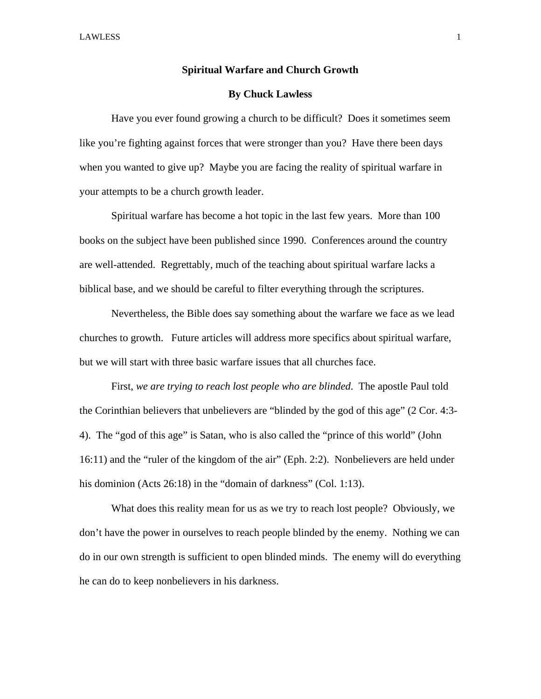## **Spiritual Warfare and Church Growth**

## **By Chuck Lawless**

Have you ever found growing a church to be difficult? Does it sometimes seem like you're fighting against forces that were stronger than you? Have there been days when you wanted to give up? Maybe you are facing the reality of spiritual warfare in your attempts to be a church growth leader.

Spiritual warfare has become a hot topic in the last few years. More than 100 books on the subject have been published since 1990. Conferences around the country are well-attended. Regrettably, much of the teaching about spiritual warfare lacks a biblical base, and we should be careful to filter everything through the scriptures.

Nevertheless, the Bible does say something about the warfare we face as we lead churches to growth. Future articles will address more specifics about spiritual warfare, but we will start with three basic warfare issues that all churches face.

First, *we are trying to reach lost people who are blinded*. The apostle Paul told the Corinthian believers that unbelievers are "blinded by the god of this age" (2 Cor. 4:3- 4). The "god of this age" is Satan, who is also called the "prince of this world" (John 16:11) and the "ruler of the kingdom of the air" (Eph. 2:2). Nonbelievers are held under his dominion (Acts 26:18) in the "domain of darkness" (Col. 1:13).

 What does this reality mean for us as we try to reach lost people? Obviously, we don't have the power in ourselves to reach people blinded by the enemy. Nothing we can do in our own strength is sufficient to open blinded minds. The enemy will do everything he can do to keep nonbelievers in his darkness.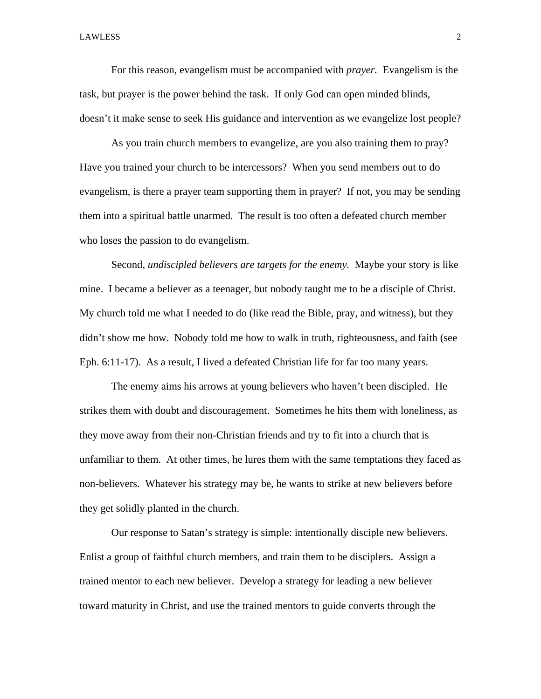LAWLESS 2

For this reason, evangelism must be accompanied with *prayer.* Evangelism is the task, but prayer is the power behind the task. If only God can open minded blinds, doesn't it make sense to seek His guidance and intervention as we evangelize lost people?

As you train church members to evangelize, are you also training them to pray? Have you trained your church to be intercessors? When you send members out to do evangelism, is there a prayer team supporting them in prayer? If not, you may be sending them into a spiritual battle unarmed. The result is too often a defeated church member who loses the passion to do evangelism.

Second, *undiscipled believers are targets for the enemy.* Maybe your story is like mine. I became a believer as a teenager, but nobody taught me to be a disciple of Christ. My church told me what I needed to do (like read the Bible, pray, and witness), but they didn't show me how. Nobody told me how to walk in truth, righteousness, and faith (see Eph. 6:11-17). As a result, I lived a defeated Christian life for far too many years.

The enemy aims his arrows at young believers who haven't been discipled. He strikes them with doubt and discouragement. Sometimes he hits them with loneliness, as they move away from their non-Christian friends and try to fit into a church that is unfamiliar to them. At other times, he lures them with the same temptations they faced as non-believers. Whatever his strategy may be, he wants to strike at new believers before they get solidly planted in the church.

Our response to Satan's strategy is simple: intentionally disciple new believers. Enlist a group of faithful church members, and train them to be disciplers. Assign a trained mentor to each new believer. Develop a strategy for leading a new believer toward maturity in Christ, and use the trained mentors to guide converts through the